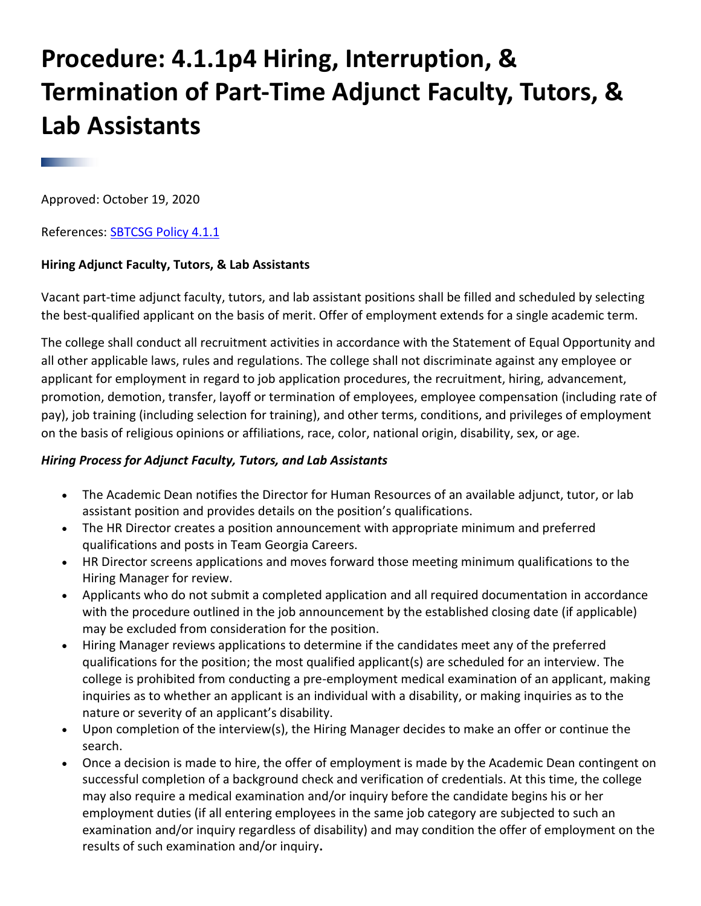# **Procedure: 4.1.1p4 Hiring, Interruption, & Termination of Part-Time Adjunct Faculty, Tutors, & Lab Assistants**

Approved: October 19, 2020

References: **SBTCSG Policy 4.1.1** 

## **Hiring Adjunct Faculty, Tutors, & Lab Assistants**

Vacant part-time adjunct faculty, tutors, and lab assistant positions shall be filled and scheduled by selecting the best-qualified applicant on the basis of merit. Offer of employment extends for a single academic term.

The college shall conduct all recruitment activities in accordance with the Statement of Equal Opportunity and all other applicable laws, rules and regulations. The college shall not discriminate against any employee or applicant for employment in regard to job application procedures, the recruitment, hiring, advancement, promotion, demotion, transfer, layoff or termination of employees, employee compensation (including rate of pay), job training (including selection for training), and other terms, conditions, and privileges of employment on the basis of religious opinions or affiliations, race, color, national origin, disability, sex, or age.

### *Hiring Process for Adjunct Faculty, Tutors, and Lab Assistants*

- The Academic Dean notifies the Director for Human Resources of an available adjunct, tutor, or lab assistant position and provides details on the position's qualifications.
- The HR Director creates a position announcement with appropriate minimum and preferred qualifications and posts in Team Georgia Careers.
- HR Director screens applications and moves forward those meeting minimum qualifications to the Hiring Manager for review.
- Applicants who do not submit a completed application and all required documentation in accordance with the procedure outlined in the job announcement by the established closing date (if applicable) may be excluded from consideration for the position.
- Hiring Manager reviews applications to determine if the candidates meet any of the preferred qualifications for the position; the most qualified applicant(s) are scheduled for an interview. The college is prohibited from conducting a pre-employment medical examination of an applicant, making inquiries as to whether an applicant is an individual with a disability, or making inquiries as to the nature or severity of an applicant's disability.
- Upon completion of the interview(s), the Hiring Manager decides to make an offer or continue the search.
- Once a decision is made to hire, the offer of employment is made by the Academic Dean contingent on successful completion of a background check and verification of credentials. At this time, the college may also require a medical examination and/or inquiry before the candidate begins his or her employment duties (if all entering employees in the same job category are subjected to such an examination and/or inquiry regardless of disability) and may condition the offer of employment on the results of such examination and/or inquiry**.**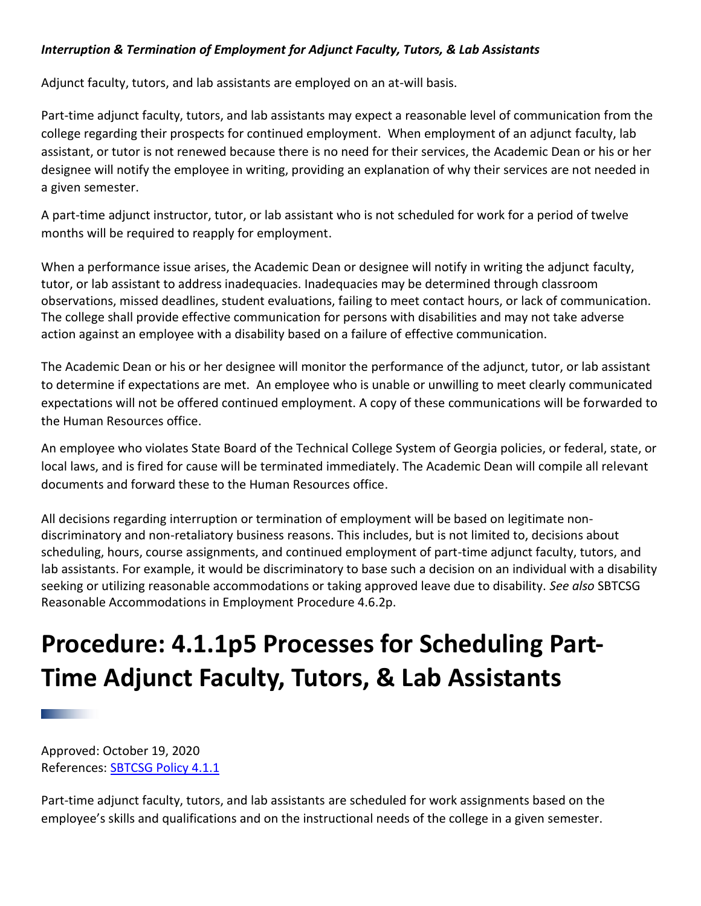# *Interruption & Termination of Employment for Adjunct Faculty, Tutors, & Lab Assistants*

Adjunct faculty, tutors, and lab assistants are employed on an at-will basis.

Part-time adjunct faculty, tutors, and lab assistants may expect a reasonable level of communication from the college regarding their prospects for continued employment. When employment of an adjunct faculty, lab assistant, or tutor is not renewed because there is no need for their services, the Academic Dean or his or her designee will notify the employee in writing, providing an explanation of why their services are not needed in a given semester.

A part-time adjunct instructor, tutor, or lab assistant who is not scheduled for work for a period of twelve months will be required to reapply for employment.

When a performance issue arises, the Academic Dean or designee will notify in writing the adjunct faculty, tutor, or lab assistant to address inadequacies. Inadequacies may be determined through classroom observations, missed deadlines, student evaluations, failing to meet contact hours, or lack of communication. The college shall provide effective communication for persons with disabilities and may not take adverse action against an employee with a disability based on a failure of effective communication.

The Academic Dean or his or her designee will monitor the performance of the adjunct, tutor, or lab assistant to determine if expectations are met. An employee who is unable or unwilling to meet clearly communicated expectations will not be offered continued employment. A copy of these communications will be forwarded to the Human Resources office.

An employee who violates State Board of the Technical College System of Georgia policies, or federal, state, or local laws, and is fired for cause will be terminated immediately. The Academic Dean will compile all relevant documents and forward these to the Human Resources office.

All decisions regarding interruption or termination of employment will be based on legitimate nondiscriminatory and non-retaliatory business reasons. This includes, but is not limited to, decisions about scheduling, hours, course assignments, and continued employment of part-time adjunct faculty, tutors, and lab assistants. For example, it would be discriminatory to base such a decision on an individual with a disability seeking or utilizing reasonable accommodations or taking approved leave due to disability. *See also* SBTCSG Reasonable Accommodations in Employment Procedure 4.6.2p.

# **Procedure: 4.1.1p5 Processes for Scheduling Part-Time Adjunct Faculty, Tutors, & Lab Assistants**

Approved: October 19, 2020 References: [SBTCSG Policy 4.1.1](https://tcsg.edu/tcsgpolicy/files/4.1.1.pdf)

Part-time adjunct faculty, tutors, and lab assistants are scheduled for work assignments based on the employee's skills and qualifications and on the instructional needs of the college in a given semester.